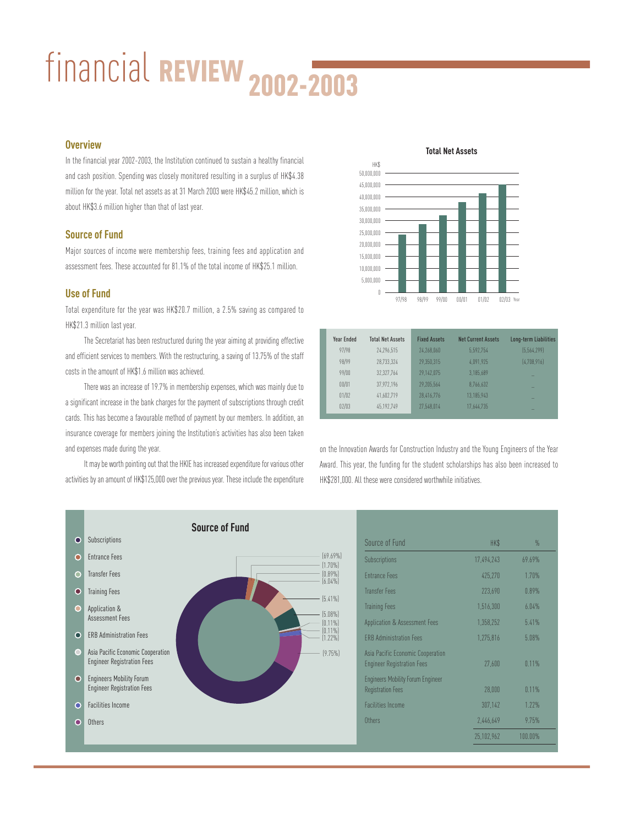# financial REVIEW 2002-2003

### **Overview**

In the financial year 2002-2003, the Institution continued to sustain a healthy financial and cash position. Spending was closely monitored resulting in a surplus of HK\$4.38 million for the year. Total net assets as at 31 March 2003 were HK\$45.2 million, which is about HK\$3.6 million higher than that of last year.

## **Source of Fund**

Major sources of income were membership fees, training fees and application and assessment fees. These accounted for 81.1% of the total income of HK\$25.1 million.

# **Use of Fund**

Total expenditure for the year was HK\$20.7 million, a 2.5% saving as compared to HK\$21.3 million last year.

The Secretariat has been restructured during the year aiming at providing effective and efficient services to members. With the restructuring, a saving of 13.75% of the staff costs in the amount of HK\$1.6 million was achieved.

There was an increase of 19.7% in membership expenses, which was mainly due to a significant increase in the bank charges for the payment of subscriptions through credit cards. This has become a favourable method of payment by our members. In addition, an insurance coverage for members joining the Institution's activities has also been taken and expenses made during the year.

It may be worth pointing out that the HKIE has increased expenditure for various other activities by an amount of HK\$125,000 over the previous year. These include the expenditure



| <b>Year Ended</b> | <b>Total Net Assets</b> | <b>Fixed Assets</b> | <b>Net Current Assets</b> | Long-term Liabilities |
|-------------------|-------------------------|---------------------|---------------------------|-----------------------|
| 97/98             | 24.296.515              | 24.268.060          | 5.592.754                 | [5.564.299]           |
| 98/99             | 28.733.324              | 29.350.315          | 4.091.925                 | [4.708.916]           |
| 99/00             | 32.327.764              | 29.142.075          | 3.185.689                 |                       |
| 00/01             | 37.972.196              | 29.205.564          | 8.766.632                 | -                     |
| 01/02             | 41.602.719              | 28.416.776          | 13.185.943                | -                     |
| 02/03             | 45.192.749              | 27.548.014          | 17.644.735                | -                     |

on the Innovation Awards for Construction Industry and the Young Engineers of the Year Award. This year, the funding for the student scholarships has also been increased to HK\$281,000. All these were considered worthwhile initiatives.



| Source of Fund                                                         | HK\$       | $\frac{0}{n}$ |
|------------------------------------------------------------------------|------------|---------------|
| Subscriptions                                                          | 17.494.243 | 69.69%        |
| <b>Fntrance Fees</b>                                                   | 425,270    | 1.70%         |
| <b>Transfer Fees</b>                                                   | 223,690    | 0.89%         |
| <b>Training Fees</b>                                                   | 1,516,300  | 6.04%         |
| Application & Assessment Fees                                          | 1.358.252  | 5.41%         |
| <b>ERB Administration Fees</b>                                         | 1,275,816  | 5.08%         |
| Asia Pacific Economic Cooperation<br><b>Engineer Registration Fees</b> | 27,600     | 0.11%         |
| <b>Engineers Mobility Forum Engineer</b><br><b>Registration Fees</b>   | 28,000     | 0.11%         |
| <b>Facilities Income</b>                                               | 307,142    | 1.77%         |
| Others                                                                 | 2,446,649  | 9.75%         |
|                                                                        | 25.102.962 | $100.00\%$    |